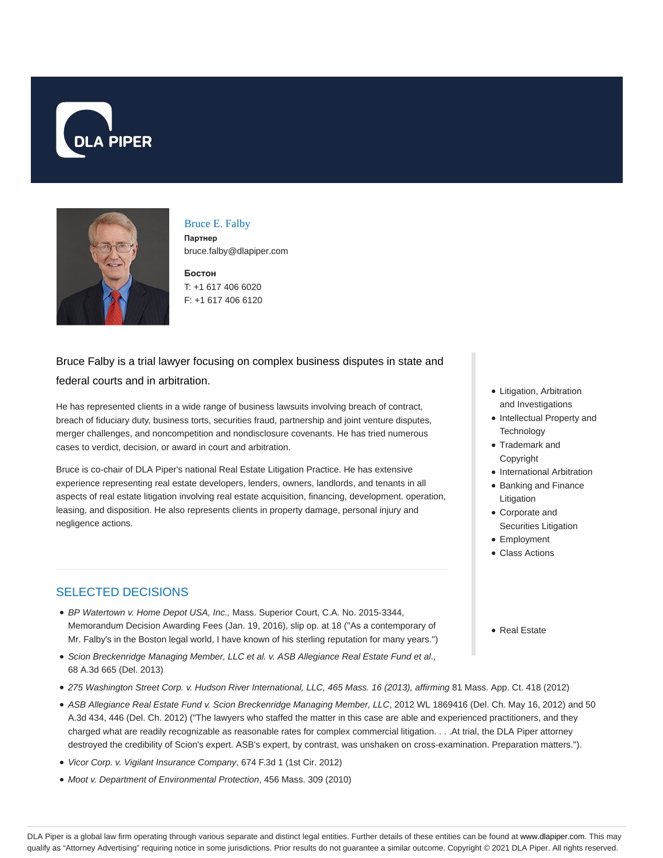



## Bruce E. Falby

**Партнер** bruce.falby@dlapiper.com

**Бостон** T: +1 617 406 6020 F: +1 617 406 6120

# Bruce Falby is a trial lawyer focusing on complex business disputes in state and federal courts and in arbitration.

He has represented clients in a wide range of business lawsuits involving breach of contract, breach of fiduciary duty, business torts, securities fraud, partnership and joint venture disputes, merger challenges, and noncompetition and nondisclosure covenants. He has tried numerous cases to verdict, decision, or award in court and arbitration.

Bruce is co-chair of DLA Piper's national Real Estate Litigation Practice. He has extensive experience representing real estate developers, lenders, owners, landlords, and tenants in all aspects of real estate litigation involving real estate acquisition, financing, development. operation, leasing, and disposition. He also represents clients in property damage, personal injury and negligence actions.

## SELECTED DECISIONS

- BP Watertown v. Home Depot USA, Inc., Mass. Superior Court, C.A. No. 2015-3344, Memorandum Decision Awarding Fees (Jan. 19, 2016), slip op. at 18 (''As a contemporary of Mr. Falby's in the Boston legal world, I have known of his sterling reputation for many years.'')
- **·** Scion Breckenridge Managing Member, LLC et al. v. ASB Allegiance Real Estate Fund et al., 68 A.3d 665 (Del. 2013)
- 275 Washington Street Corp. v. Hudson River International, LLC, 465 Mass. 16 (2013), affirming 81 Mass. App. Ct. 418 (2012)
- ASB Allegiance Real Estate Fund v. Scion Breckenridge Managing Member, LLC, 2012 WL 1869416 (Del. Ch. May 16, 2012) and 50 A.3d 434, 446 (Del. Ch. 2012) ("The lawyers who staffed the matter in this case are able and experienced practitioners, and they charged what are readily recognizable as reasonable rates for complex commercial litigation. . . .At trial, the DLA Piper attorney destroyed the credibility of Scion's expert. ASB's expert, by contrast, was unshaken on cross-examination. Preparation matters.").
- Vicor Corp. v. Vigilant Insurance Company, 674 F.3d 1 (1st Cir. 2012)
- Moot v. Department of Environmental Protection, 456 Mass. 309 (2010)
- Litigation, Arbitration and Investigations
- Intellectual Property and **Technology**
- Trademark and Copyright
- International Arbitration
- Banking and Finance Litigation
- Corporate and Securities Litigation
- Employment
- Class Actions
- Real Estate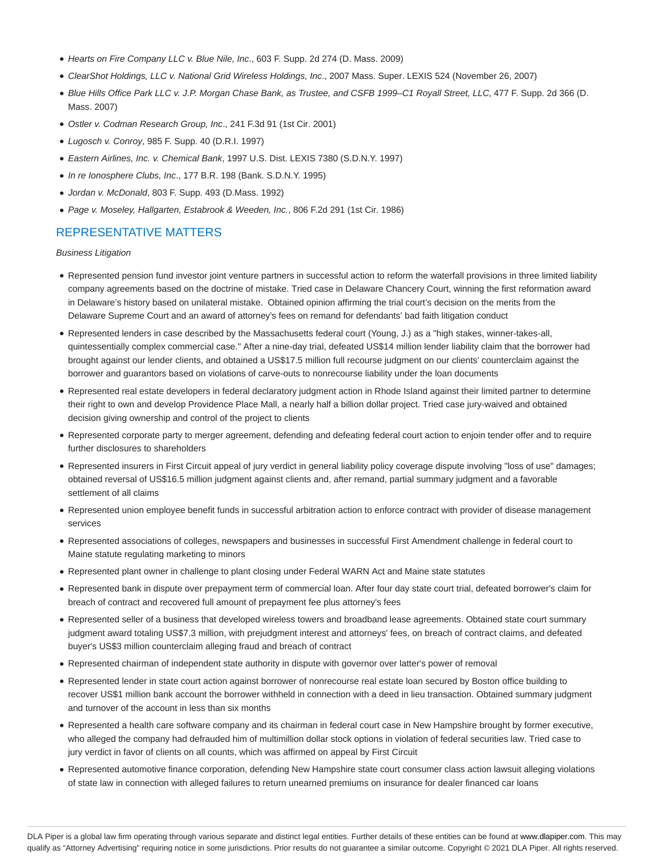- Hearts on Fire Company LLC v. Blue Nile, Inc., 603 F. Supp. 2d 274 (D. Mass. 2009)
- ClearShot Holdings, LLC v. National Grid Wireless Holdings, Inc., 2007 Mass. Super. LEXIS 524 (November 26, 2007)
- Blue Hills Office Park LLC v. J.P. Morgan Chase Bank, as Trustee, and CSFB 1999–C1 Royall Street, LLC, 477 F. Supp. 2d 366 (D. Mass. 2007)
- Ostler v. Codman Research Group, Inc., 241 F.3d 91 (1st Cir. 2001)
- Lugosch v. Conroy, 985 F. Supp. 40 (D.R.I. 1997)
- Eastern Airlines, Inc. v. Chemical Bank, 1997 U.S. Dist. LEXIS 7380 (S.D.N.Y. 1997)
- In re Ionosphere Clubs, Inc., 177 B.R. 198 (Bank. S.D.N.Y. 1995)
- Jordan v. McDonald, 803 F. Supp. 493 (D.Mass. 1992)
- Page v. Moseley, Hallgarten, Estabrook & Weeden, Inc., 806 F.2d 291 (1st Cir. 1986)

### REPRESENTATIVE MATTERS

Business Litigation

- Represented pension fund investor joint venture partners in successful action to reform the waterfall provisions in three limited liability company agreements based on the doctrine of mistake. Tried case in Delaware Chancery Court, winning the first reformation award in Delaware's history based on unilateral mistake. Obtained opinion affirming the trial court's decision on the merits from the Delaware Supreme Court and an award of attorney's fees on remand for defendants' bad faith litigation conduct
- Represented lenders in case described by the Massachusetts federal court (Young, J.) as a "high stakes, winner-takes-all, quintessentially complex commercial case." After a nine-day trial, defeated US\$14 million lender liability claim that the borrower had brought against our lender clients, and obtained a US\$17.5 million full recourse judgment on our clients' counterclaim against the borrower and guarantors based on violations of carve-outs to nonrecourse liability under the loan documents
- Represented real estate developers in federal declaratory judgment action in Rhode Island against their limited partner to determine their right to own and develop Providence Place Mall, a nearly half a billion dollar project. Tried case jury-waived and obtained decision giving ownership and control of the project to clients
- Represented corporate party to merger agreement, defending and defeating federal court action to enjoin tender offer and to require further disclosures to shareholders
- Represented insurers in First Circuit appeal of jury verdict in general liability policy coverage dispute involving "loss of use" damages; obtained reversal of US\$16.5 million judgment against clients and, after remand, partial summary judgment and a favorable settlement of all claims
- Represented union employee benefit funds in successful arbitration action to enforce contract with provider of disease management services
- Represented associations of colleges, newspapers and businesses in successful First Amendment challenge in federal court to Maine statute regulating marketing to minors
- Represented plant owner in challenge to plant closing under Federal WARN Act and Maine state statutes
- Represented bank in dispute over prepayment term of commercial loan. After four day state court trial, defeated borrower's claim for breach of contract and recovered full amount of prepayment fee plus attorney's fees
- Represented seller of a business that developed wireless towers and broadband lease agreements. Obtained state court summary judgment award totaling US\$7.3 million, with prejudgment interest and attorneys' fees, on breach of contract claims, and defeated buyer's US\$3 million counterclaim alleging fraud and breach of contract
- Represented chairman of independent state authority in dispute with governor over latter's power of removal
- Represented lender in state court action against borrower of nonrecourse real estate loan secured by Boston office building to recover US\$1 million bank account the borrower withheld in connection with a deed in lieu transaction. Obtained summary judgment and turnover of the account in less than six months
- Represented a health care software company and its chairman in federal court case in New Hampshire brought by former executive, who alleged the company had defrauded him of multimillion dollar stock options in violation of federal securities law. Tried case to jury verdict in favor of clients on all counts, which was affirmed on appeal by First Circuit
- Represented automotive finance corporation, defending New Hampshire state court consumer class action lawsuit alleging violations of state law in connection with alleged failures to return unearned premiums on insurance for dealer financed car loans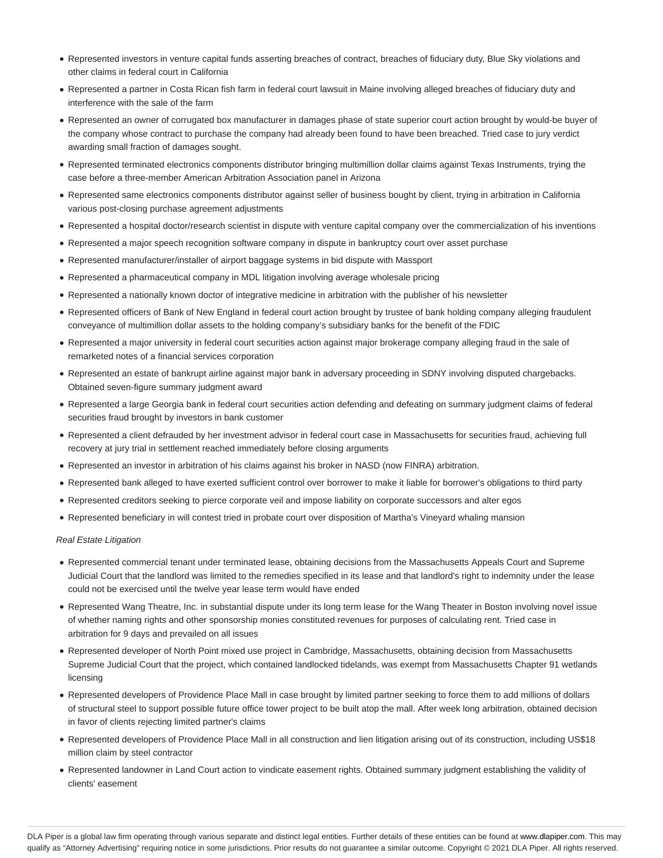- Represented investors in venture capital funds asserting breaches of contract, breaches of fiduciary duty, Blue Sky violations and other claims in federal court in California
- Represented a partner in Costa Rican fish farm in federal court lawsuit in Maine involving alleged breaches of fiduciary duty and interference with the sale of the farm
- Represented an owner of corrugated box manufacturer in damages phase of state superior court action brought by would-be buyer of the company whose contract to purchase the company had already been found to have been breached. Tried case to jury verdict awarding small fraction of damages sought.
- Represented terminated electronics components distributor bringing multimillion dollar claims against Texas Instruments, trying the case before a three-member American Arbitration Association panel in Arizona
- Represented same electronics components distributor against seller of business bought by client, trying in arbitration in California various post-closing purchase agreement adjustments
- Represented a hospital doctor/research scientist in dispute with venture capital company over the commercialization of his inventions
- Represented a major speech recognition software company in dispute in bankruptcy court over asset purchase
- Represented manufacturer/installer of airport baggage systems in bid dispute with Massport
- Represented a pharmaceutical company in MDL litigation involving average wholesale pricing
- Represented a nationally known doctor of integrative medicine in arbitration with the publisher of his newsletter
- Represented officers of Bank of New England in federal court action brought by trustee of bank holding company alleging fraudulent conveyance of multimillion dollar assets to the holding company's subsidiary banks for the benefit of the FDIC
- Represented a major university in federal court securities action against major brokerage company alleging fraud in the sale of remarketed notes of a financial services corporation
- Represented an estate of bankrupt airline against major bank in adversary proceeding in SDNY involving disputed chargebacks. Obtained seven-figure summary judgment award
- Represented a large Georgia bank in federal court securities action defending and defeating on summary judgment claims of federal securities fraud brought by investors in bank customer
- Represented a client defrauded by her investment advisor in federal court case in Massachusetts for securities fraud, achieving full recovery at jury trial in settlement reached immediately before closing arguments
- Represented an investor in arbitration of his claims against his broker in NASD (now FINRA) arbitration.
- Represented bank alleged to have exerted sufficient control over borrower to make it liable for borrower's obligations to third party
- Represented creditors seeking to pierce corporate veil and impose liability on corporate successors and alter egos
- Represented beneficiary in will contest tried in probate court over disposition of Martha's Vineyard whaling mansion

#### Real Estate Litigation

- Represented commercial tenant under terminated lease, obtaining decisions from the Massachusetts Appeals Court and Supreme Judicial Court that the landlord was limited to the remedies specified in its lease and that landlord's right to indemnity under the lease could not be exercised until the twelve year lease term would have ended
- Represented Wang Theatre, Inc. in substantial dispute under its long term lease for the Wang Theater in Boston involving novel issue of whether naming rights and other sponsorship monies constituted revenues for purposes of calculating rent. Tried case in arbitration for 9 days and prevailed on all issues
- Represented developer of North Point mixed use project in Cambridge, Massachusetts, obtaining decision from Massachusetts Supreme Judicial Court that the project, which contained landlocked tidelands, was exempt from Massachusetts Chapter 91 wetlands licensing
- Represented developers of Providence Place Mall in case brought by limited partner seeking to force them to add millions of dollars of structural steel to support possible future office tower project to be built atop the mall. After week long arbitration, obtained decision in favor of clients rejecting limited partner's claims
- Represented developers of Providence Place Mall in all construction and lien litigation arising out of its construction, including US\$18 million claim by steel contractor
- Represented landowner in Land Court action to vindicate easement rights. Obtained summary judgment establishing the validity of clients' easement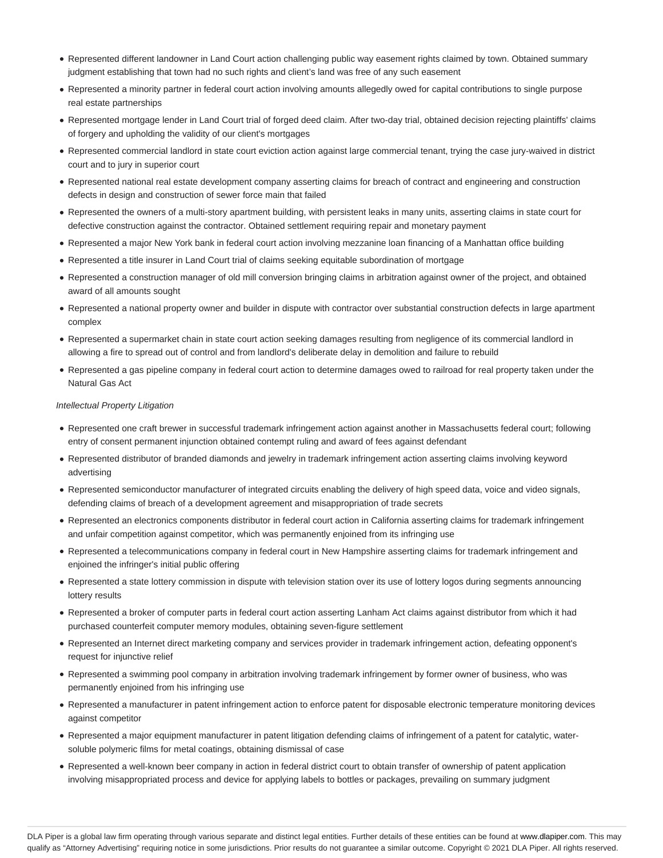- Represented different landowner in Land Court action challenging public way easement rights claimed by town. Obtained summary judgment establishing that town had no such rights and client's land was free of any such easement
- Represented a minority partner in federal court action involving amounts allegedly owed for capital contributions to single purpose real estate partnerships
- Represented mortgage lender in Land Court trial of forged deed claim. After two-day trial, obtained decision rejecting plaintiffs' claims of forgery and upholding the validity of our client's mortgages
- Represented commercial landlord in state court eviction action against large commercial tenant, trying the case jury-waived in district court and to jury in superior court
- Represented national real estate development company asserting claims for breach of contract and engineering and construction defects in design and construction of sewer force main that failed
- Represented the owners of a multi-story apartment building, with persistent leaks in many units, asserting claims in state court for defective construction against the contractor. Obtained settlement requiring repair and monetary payment
- Represented a major New York bank in federal court action involving mezzanine loan financing of a Manhattan office building
- Represented a title insurer in Land Court trial of claims seeking equitable subordination of mortgage
- Represented a construction manager of old mill conversion bringing claims in arbitration against owner of the project, and obtained award of all amounts sought
- Represented a national property owner and builder in dispute with contractor over substantial construction defects in large apartment complex
- Represented a supermarket chain in state court action seeking damages resulting from negligence of its commercial landlord in allowing a fire to spread out of control and from landlord's deliberate delay in demolition and failure to rebuild
- Represented a gas pipeline company in federal court action to determine damages owed to railroad for real property taken under the Natural Gas Act

#### Intellectual Property Litigation

- Represented one craft brewer in successful trademark infringement action against another in Massachusetts federal court; following entry of consent permanent injunction obtained contempt ruling and award of fees against defendant
- Represented distributor of branded diamonds and jewelry in trademark infringement action asserting claims involving keyword advertising
- Represented semiconductor manufacturer of integrated circuits enabling the delivery of high speed data, voice and video signals, defending claims of breach of a development agreement and misappropriation of trade secrets
- Represented an electronics components distributor in federal court action in California asserting claims for trademark infringement and unfair competition against competitor, which was permanently enjoined from its infringing use
- Represented a telecommunications company in federal court in New Hampshire asserting claims for trademark infringement and enjoined the infringer's initial public offering
- Represented a state lottery commission in dispute with television station over its use of lottery logos during segments announcing lottery results
- Represented a broker of computer parts in federal court action asserting Lanham Act claims against distributor from which it had purchased counterfeit computer memory modules, obtaining seven-figure settlement
- Represented an Internet direct marketing company and services provider in trademark infringement action, defeating opponent's request for injunctive relief
- Represented a swimming pool company in arbitration involving trademark infringement by former owner of business, who was permanently enjoined from his infringing use
- Represented a manufacturer in patent infringement action to enforce patent for disposable electronic temperature monitoring devices against competitor
- Represented a major equipment manufacturer in patent litigation defending claims of infringement of a patent for catalytic, watersoluble polymeric films for metal coatings, obtaining dismissal of case
- Represented a well-known beer company in action in federal district court to obtain transfer of ownership of patent application involving misappropriated process and device for applying labels to bottles or packages, prevailing on summary judgment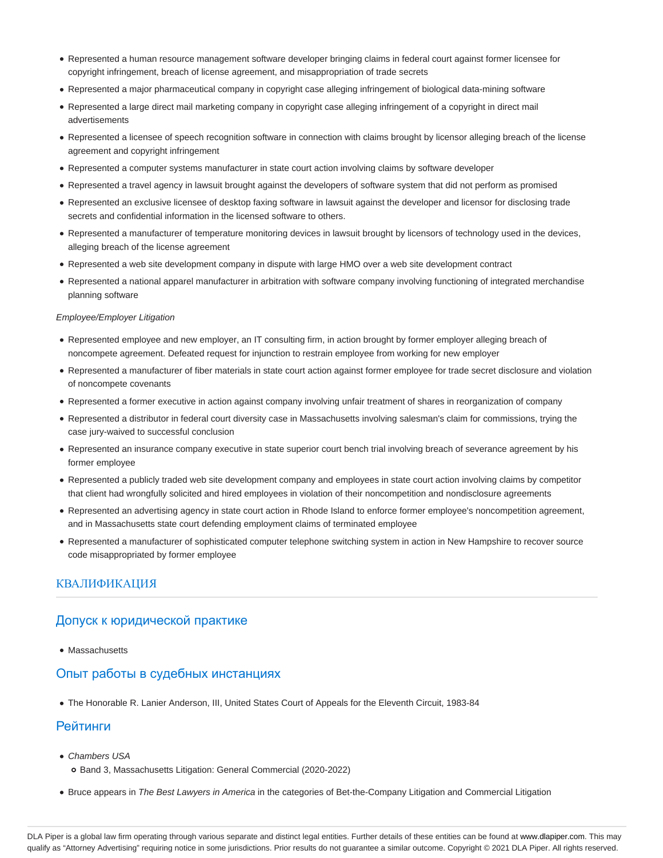- Represented a human resource management software developer bringing claims in federal court against former licensee for copyright infringement, breach of license agreement, and misappropriation of trade secrets
- Represented a major pharmaceutical company in copyright case alleging infringement of biological data-mining software
- Represented a large direct mail marketing company in copyright case alleging infringement of a copyright in direct mail advertisements
- Represented a licensee of speech recognition software in connection with claims brought by licensor alleging breach of the license agreement and copyright infringement
- Represented a computer systems manufacturer in state court action involving claims by software developer
- Represented a travel agency in lawsuit brought against the developers of software system that did not perform as promised
- Represented an exclusive licensee of desktop faxing software in lawsuit against the developer and licensor for disclosing trade secrets and confidential information in the licensed software to others.
- Represented a manufacturer of temperature monitoring devices in lawsuit brought by licensors of technology used in the devices, alleging breach of the license agreement
- Represented a web site development company in dispute with large HMO over a web site development contract
- Represented a national apparel manufacturer in arbitration with software company involving functioning of integrated merchandise planning software

#### Employee/Employer Litigation

- Represented employee and new employer, an IT consulting firm, in action brought by former employer alleging breach of noncompete agreement. Defeated request for injunction to restrain employee from working for new employer
- Represented a manufacturer of fiber materials in state court action against former employee for trade secret disclosure and violation of noncompete covenants
- Represented a former executive in action against company involving unfair treatment of shares in reorganization of company
- Represented a distributor in federal court diversity case in Massachusetts involving salesman's claim for commissions, trying the case jury-waived to successful conclusion
- Represented an insurance company executive in state superior court bench trial involving breach of severance agreement by his former employee
- Represented a publicly traded web site development company and employees in state court action involving claims by competitor that client had wrongfully solicited and hired employees in violation of their noncompetition and nondisclosure agreements
- Represented an advertising agency in state court action in Rhode Island to enforce former employee's noncompetition agreement, and in Massachusetts state court defending employment claims of terminated employee
- Represented a manufacturer of sophisticated computer telephone switching system in action in New Hampshire to recover source code misappropriated by former employee

#### КВАЛИФИКАЦИЯ

#### Допуск к юридической практике

• Massachusetts

## Опыт работы в судебных инстанциях

The Honorable R. Lanier Anderson, III, United States Court of Appeals for the Eleventh Circuit, 1983-84

### Рейтинги

- Chambers USA
	- Band 3, Massachusetts Litigation: General Commercial (2020-2022)
- **Bruce appears in The Best Lawyers in America in the categories of Bet-the-Company Litigation and Commercial Litigation**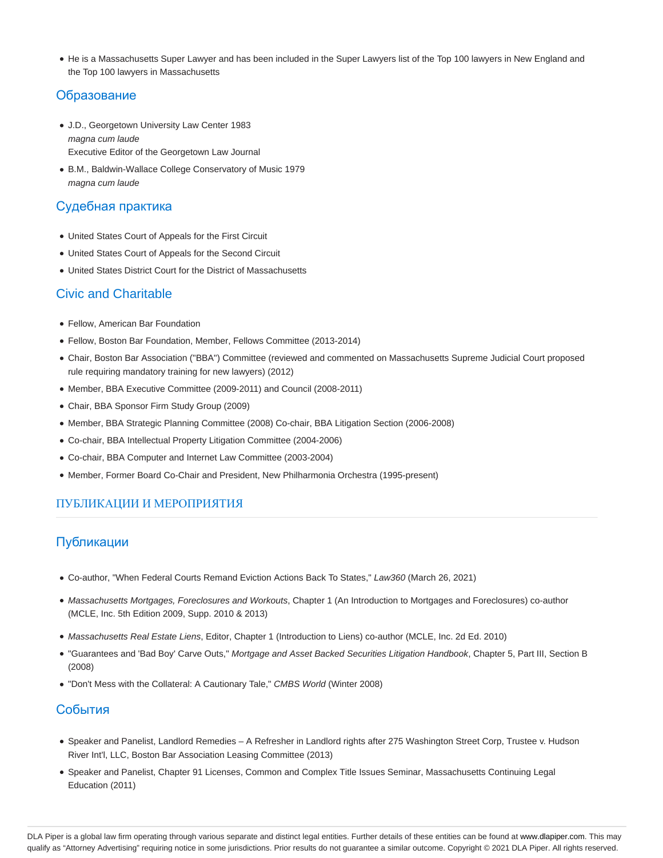He is a Massachusetts Super Lawyer and has been included in the Super Lawyers list of the Top 100 lawyers in New England and the Top 100 lawyers in Massachusetts

### Образование

- J.D., Georgetown University Law Center 1983 magna cum laude Executive Editor of the Georgetown Law Journal
- B.M., Baldwin-Wallace College Conservatory of Music 1979 magna cum laude

## Судебная практика

- United States Court of Appeals for the First Circuit
- United States Court of Appeals for the Second Circuit
- United States District Court for the District of Massachusetts

## Civic and Charitable

- Fellow, American Bar Foundation
- Fellow, Boston Bar Foundation, Member, Fellows Committee (2013-2014)
- Chair, Boston Bar Association ("BBA") Committee (reviewed and commented on Massachusetts Supreme Judicial Court proposed rule requiring mandatory training for new lawyers) (2012)
- Member, BBA Executive Committee (2009-2011) and Council (2008-2011)
- Chair, BBA Sponsor Firm Study Group (2009)
- Member, BBA Strategic Planning Committee (2008) Co-chair, BBA Litigation Section (2006-2008)
- Co-chair, BBA Intellectual Property Litigation Committee (2004-2006)
- Co-chair, BBA Computer and Internet Law Committee (2003-2004)
- Member, Former Board Co-Chair and President, New Philharmonia Orchestra (1995-present)

## ПУБЛИКАЦИИ И МЕРОПРИЯТИЯ

## Публикации

- Co-author, "When Federal Courts Remand Eviction Actions Back To States," Law360 (March 26, 2021)
- Massachusetts Mortgages, Foreclosures and Workouts, Chapter 1 (An Introduction to Mortgages and Foreclosures) co-author (MCLE, Inc. 5th Edition 2009, Supp. 2010 & 2013)
- Massachusetts Real Estate Liens, Editor, Chapter 1 (Introduction to Liens) co-author (MCLE, Inc. 2d Ed. 2010)
- "Guarantees and 'Bad Boy' Carve Outs," Mortgage and Asset Backed Securities Litigation Handbook, Chapter 5, Part III, Section B (2008)
- "Don't Mess with the Collateral: A Cautionary Tale," CMBS World (Winter 2008)

## События

- Speaker and Panelist, Landlord Remedies A Refresher in Landlord rights after 275 Washington Street Corp, Trustee v. Hudson River Int'l, LLC, Boston Bar Association Leasing Committee (2013)
- Speaker and Panelist, Chapter 91 Licenses, Common and Complex Title Issues Seminar, Massachusetts Continuing Legal Education (2011)